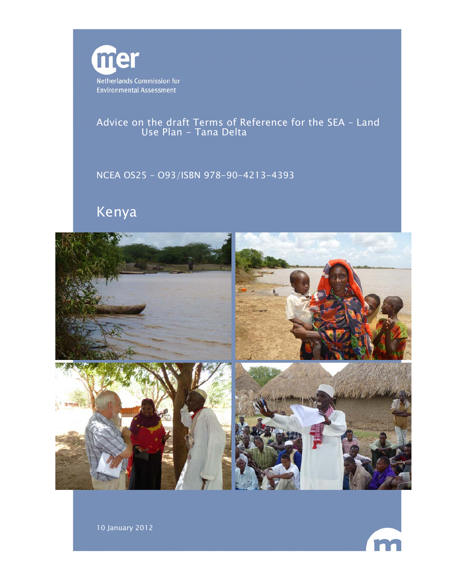

Advice on the draft Terms of Reference for the SEA – Land Use Plan - Tana Delta

NCEA OS25 – O93/ISBN 978-90-4213-4393

# Kenya





10 January 2012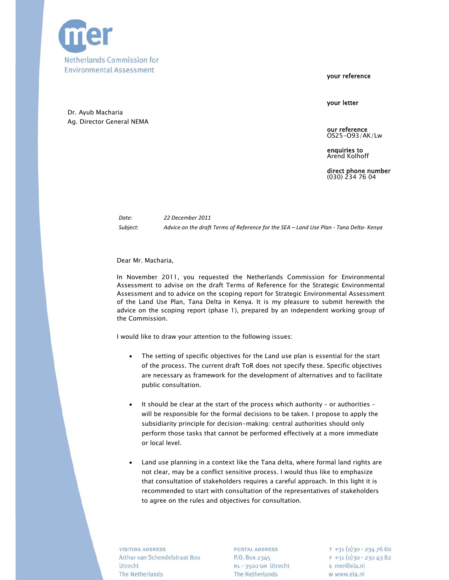

your reference

your letter

Dr. Ayub Macharia Ag. Director General NEMA

> our reference OS25-O93/AK/Lw

enquiries to Arend Kolhoff

direct phone number (030) 234 76 04

*Date: 22 December 2011* Subject: Advice on the draft Terms of Reference for the SEA - Land Use Plan - Tana Delta- Kenya

Dear Mr. Macharia,

In November 2011, you requested the Netherlands Commission for Environmental Assessment to advise on the draft Terms of Reference for the Strategic Environmental Assessment and to advice on the scoping report for Strategic Environmental Assessment of the Land Use Plan, Tana Delta in Kenya. It is my pleasure to submit herewith the advice on the scoping report (phase 1), prepared by an independent working group of the Commission.

I would like to draw your attention to the following issues:

- The setting of specific objectives for the Land use plan is essential for the start of the process. The current draft ToR does not specify these. Specific objectives are necessary as framework for the development of alternatives and to facilitate public consultation.
- It should be clear at the start of the process which authority or authorities will be responsible for the formal decisions to be taken. I propose to apply the subsidiarity principle for decision-making: central authorities should only perform those tasks that cannot be performed effectively at a more immediate or local level.
- Land use planning in a context like the Tana delta, where formal land rights are not clear, may be a conflict sensitive process. I would thus like to emphasize that consultation of stakeholders requires a careful approach. In this light it is recommended to start with consultation of the representatives of stakeholders to agree on the rules and objectives for consultation.

**VISITING ADDRESS** Arthur van Schendelstraat 800 Utrecht The Netherlands

POSTAL ADDRESS P.O. Box 2345 NL - 3500 GH Utrecht The Netherlands

 $T + 31(0)30 - 2347660$  $F + 31(0)30 - 2304382$ E mer@eia.nl w www.eia.nl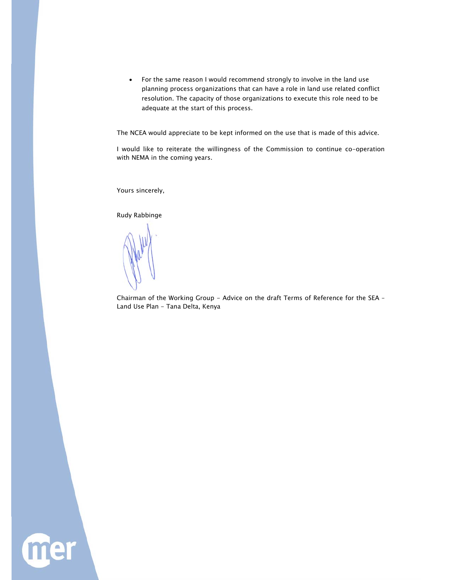For the same reason I would recommend strongly to involve in the land use planning process organizations that can have a role in land use related conflict resolution. The capacity of those organizations to execute this role need to be adequate at the start of this process.

The NCEA would appreciate to be kept informed on the use that is made of this advice.

I would like to reiterate the willingness of the Commission to continue co-operation with NEMA in the coming years.

Yours sincerely,

Rudy Rabbinge

Chairman of the Working Group - Advice on the draft Terms of Reference for the SEA – Land Use Plan - Tana Delta, Kenya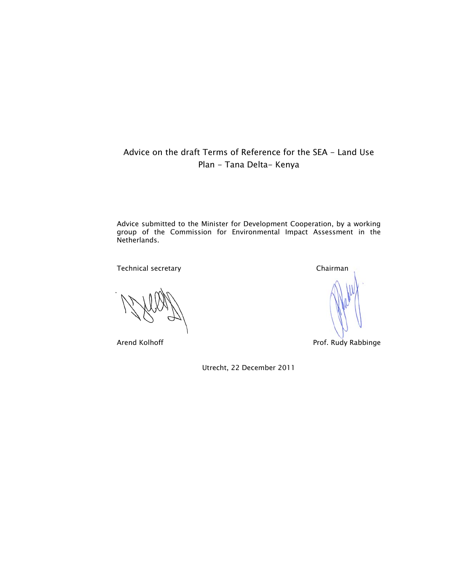# Advice on the draft Terms of Reference for the SEA - Land Use Plan - Tana Delta- Kenya

Advice submitted to the Minister for Development Cooperation, by a working group of the Commission for Environmental Impact Assessment in the Netherlands.

Technical secretary and the control of the Chairman

Arend Kolhoff **Prof. Rudy Rabbinge** 

Utrecht, 22 December 2011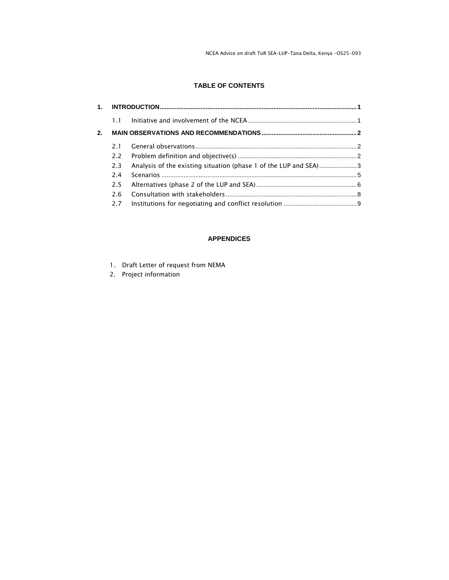NCEA Advice on draft ToR SEA–LUP-Tana Delta, Kenya -OS25-093

# **TABLE OF CONTENTS**

|    | 1.1 |                                                                  |  |
|----|-----|------------------------------------------------------------------|--|
| 2. |     |                                                                  |  |
|    | 21  |                                                                  |  |
|    | 2.2 |                                                                  |  |
|    | 2.3 | Analysis of the existing situation (phase 1 of the LUP and SEA)3 |  |
|    | 2.4 |                                                                  |  |
|    | 2.5 |                                                                  |  |
|    | 2.6 |                                                                  |  |
|    | 2.7 |                                                                  |  |
|    |     |                                                                  |  |

#### **APPENDICES**

- 1. Draft Letter of request from NEMA
- 2. Project information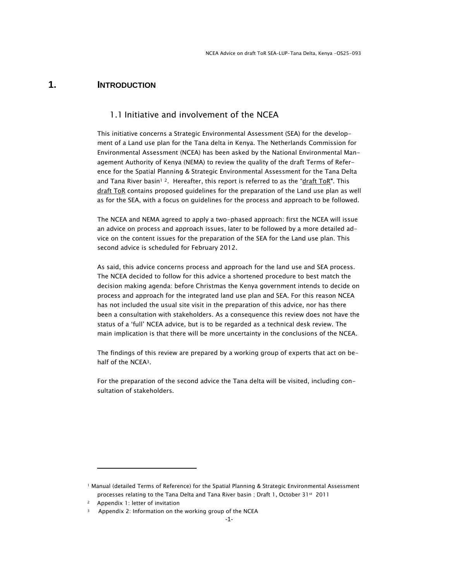# **1. INTRODUCTION**

### 1.1 Initiative and involvement of the NCEA

This initiative concerns a Strategic Environmental Assessment (SEA) for the development of a Land use plan for the Tana delta in Kenya. The Netherlands Commission for Environmental Assessment (NCEA) has been asked by the National Environmental Management Authority of Kenya (NEMA) to review the quality of the draft Terms of Reference for the Spatial Planning & Strategic Environmental Assessment for the Tana Delta and Tana River basin<sup>1</sup><sup>2</sup>. Hereafter, this report is referred to as the "draft ToR". This draft ToR contains proposed guidelines for the preparation of the Land use plan as well as for the SEA, with a focus on guidelines for the process and approach to be followed.

The NCEA and NEMA agreed to apply a two-phased approach: first the NCEA will issue an advice on process and approach issues, later to be followed by a more detailed advice on the content issues for the preparation of the SEA for the Land use plan. This second advice is scheduled for February 2012.

As said, this advice concerns process and approach for the land use and SEA process. The NCEA decided to follow for this advice a shortened procedure to best match the decision making agenda: before Christmas the Kenya government intends to decide on process and approach for the integrated land use plan and SEA. For this reason NCEA has not included the usual site visit in the preparation of this advice, nor has there been a consultation with stakeholders. As a consequence this review does not have the status of a 'full' NCEA advice, but is to be regarded as a technical desk review. The main implication is that there will be more uncertainty in the conclusions of the NCEA.

The findings of this review are prepared by a working group of experts that act on behalf of the NCEA3.

For the preparation of the second advice the Tana delta will be visited, including consultation of stakeholders.

<sup>1</sup> Manual (detailed Terms of Reference) for the Spatial Planning & Strategic Environmental Assessment processes relating to the Tana Delta and Tana River basin ; Draft 1, October 31st 2011

Appendix 1: letter of invitation

Appendix 2: Information on the working group of the NCEA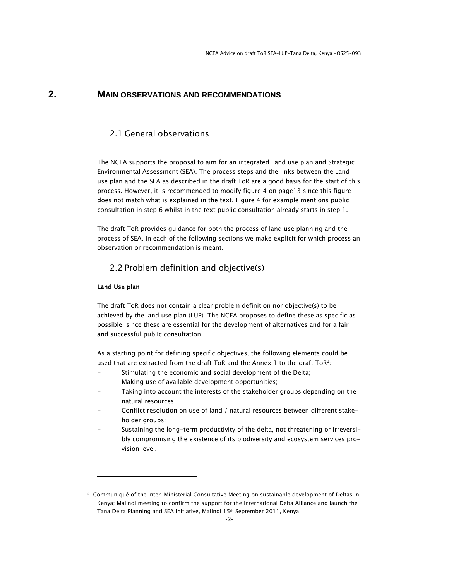# **2. MAIN OBSERVATIONS AND RECOMMENDATIONS**

# 2.1 General observations

The NCEA supports the proposal to aim for an integrated Land use plan and Strategic Environmental Assessment (SEA). The process steps and the links between the Land use plan and the SEA as described in the draft ToR are a good basis for the start of this process. However, it is recommended to modify figure 4 on page13 since this figure does not match what is explained in the text. Figure 4 for example mentions public consultation in step 6 whilst in the text public consultation already starts in step 1.

The draft ToR provides guidance for both the process of land use planning and the process of SEA. In each of the following sections we make explicit for which process an observation or recommendation is meant.

### 2.2 Problem definition and objective(s)

#### Land Use plan

The draft ToR does not contain a clear problem definition nor objective(s) to be achieved by the land use plan (LUP). The NCEA proposes to define these as specific as possible, since these are essential for the development of alternatives and for a fair and successful public consultation.

As a starting point for defining specific objectives, the following elements could be used that are extracted from the draft ToR and the Annex 1 to the draft ToR4:

- Stimulating the economic and social development of the Delta;
- Making use of available development opportunities;
- Taking into account the interests of the stakeholder groups depending on the natural resources;
- Conflict resolution on use of land / natural resources between different stakeholder groups;
- Sustaining the long-term productivity of the delta, not threatening or irreversibly compromising the existence of its biodiversity and ecosystem services provision level.

<sup>4</sup> Communiqué of the Inter-Ministerial Consultative Meeting on sustainable development of Deltas in Kenya; Malindi meeting to confirm the support for the international Delta Alliance and launch the Tana Delta Planning and SEA Initiative, Malindi 15th September 2011, Kenya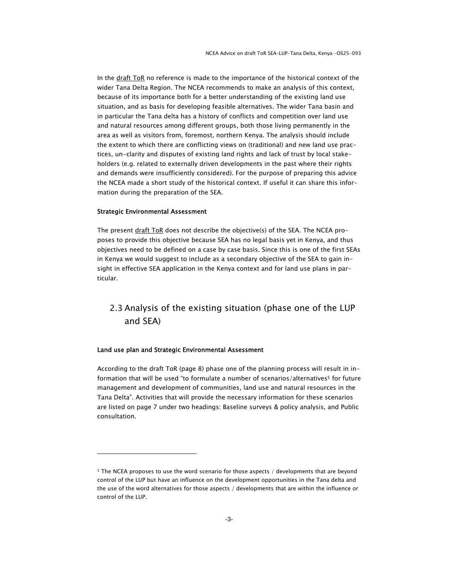In the draft ToR no reference is made to the importance of the historical context of the wider Tana Delta Region. The NCEA recommends to make an analysis of this context, because of its importance both for a better understanding of the existing land use situation, and as basis for developing feasible alternatives. The wider Tana basin and in particular the Tana delta has a history of conflicts and competition over land use and natural resources among different groups, both those living permanently in the area as well as visitors from, foremost, northern Kenya. The analysis should include the extent to which there are conflicting views on (traditional) and new land use practices, un-clarity and disputes of existing land rights and lack of trust by local stakeholders (e.g. related to externally driven developments in the past where their rights and demands were insufficiently considered). For the purpose of preparing this advice the NCEA made a short study of the historical context. If useful it can share this information during the preparation of the SEA.

#### Strategic Environmental Assessment

The present draft ToR does not describe the objective(s) of the SEA. The NCEA proposes to provide this objective because SEA has no legal basis yet in Kenya, and thus objectives need to be defined on a case by case basis. Since this is one of the first SEAs in Kenya we would suggest to include as a secondary objective of the SEA to gain insight in effective SEA application in the Kenya context and for land use plans in particular.

# 2.3 Analysis of the existing situation (phase one of the LUP and SEA)

#### Land use plan and Strategic Environmental Assessment

According to the draft ToR (page 8) phase one of the planning process will result in information that will be used "to formulate a number of scenarios/alternatives<sup>5</sup> for future management and development of communities, land use and natural resources in the Tana Delta". Activities that will provide the necessary information for these scenarios are listed on page 7 under two headings: Baseline surveys & policy analysis, and Public consultation.

<sup>&</sup>lt;sup>5</sup> The NCEA proposes to use the word scenario for those aspects / developments that are beyond control of the LUP but have an influence on the development opportunities in the Tana delta and the use of the word alternatives for those aspects / developments that are within the influence or control of the LUP.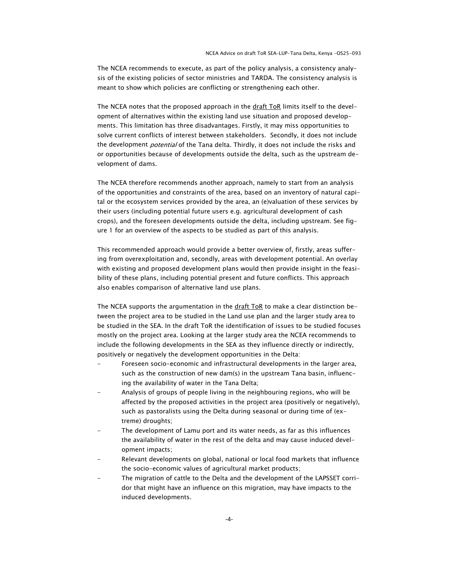The NCEA recommends to execute, as part of the policy analysis, a consistency analysis of the existing policies of sector ministries and TARDA. The consistency analysis is meant to show which policies are conflicting or strengthening each other.

The NCEA notes that the proposed approach in the draft ToR limits itself to the development of alternatives within the existing land use situation and proposed developments. This limitation has three disadvantages. Firstly, it may miss opportunities to solve current conflicts of interest between stakeholders. Secondly, it does not include the development *potential* of the Tana delta. Thirdly, it does not include the risks and or opportunities because of developments outside the delta, such as the upstream development of dams.

The NCEA therefore recommends another approach, namely to start from an analysis of the opportunities and constraints of the area, based on an inventory of natural capital or the ecosystem services provided by the area, an (e)valuation of these services by their users (including potential future users e.g. agricultural development of cash crops), and the foreseen developments outside the delta, including upstream. See figure 1 for an overview of the aspects to be studied as part of this analysis.

This recommended approach would provide a better overview of, firstly, areas suffering from overexploitation and, secondly, areas with development potential. An overlay with existing and proposed development plans would then provide insight in the feasibility of these plans, including potential present and future conflicts. This approach also enables comparison of alternative land use plans.

The NCEA supports the argumentation in the  $dr$  aft ToR to make a clear distinction between the project area to be studied in the Land use plan and the larger study area to be studied in the SEA. In the draft ToR the identification of issues to be studied focuses mostly on the project area. Looking at the larger study area the NCEA recommends to include the following developments in the SEA as they influence directly or indirectly, positively or negatively the development opportunities in the Delta:

- Foreseen socio-economic and infrastructural developments in the larger area, such as the construction of new dam(s) in the upstream Tana basin, influencing the availability of water in the Tana Delta;
- Analysis of groups of people living in the neighbouring regions, who will be affected by the proposed activities in the project area (positively or negatively), such as pastoralists using the Delta during seasonal or during time of (extreme) droughts;
- The development of Lamu port and its water needs, as far as this influences the availability of water in the rest of the delta and may cause induced development impacts;
- Relevant developments on global, national or local food markets that influence the socio-economic values of agricultural market products;
- The migration of cattle to the Delta and the development of the LAPSSET corridor that might have an influence on this migration, may have impacts to the induced developments.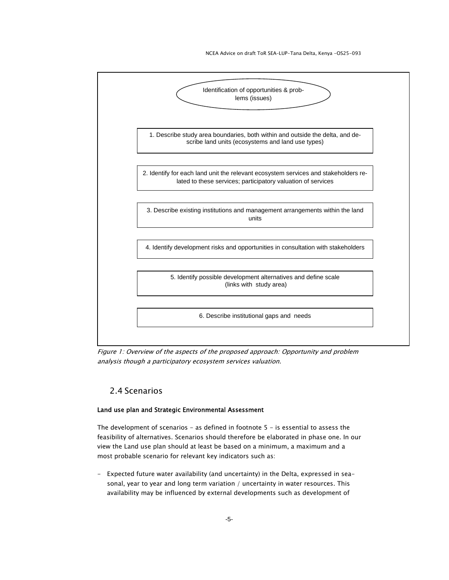

Figure 1: Overview of the aspects of the proposed approach: Opportunity and problem analysis though a participatory ecosystem services valuation.

# 2.4 Scenarios

#### Land use plan and Strategic Environmental Assessment

The development of scenarios  $-$  as defined in footnote  $5 -$  is essential to assess the feasibility of alternatives. Scenarios should therefore be elaborated in phase one. In our view the Land use plan should at least be based on a minimum, a maximum and a most probable scenario for relevant key indicators such as:

- Expected future water availability (and uncertainty) in the Delta, expressed in seasonal, year to year and long term variation / uncertainty in water resources. This availability may be influenced by external developments such as development of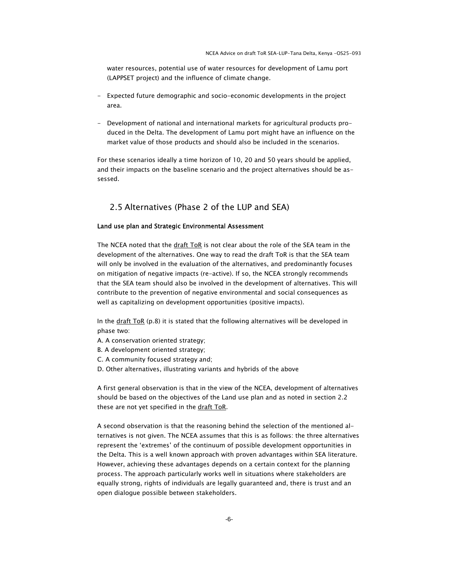water resources, potential use of water resources for development of Lamu port (LAPPSET project) and the influence of climate change.

- Expected future demographic and socio-economic developments in the project area.
- Development of national and international markets for agricultural products produced in the Delta. The development of Lamu port might have an influence on the market value of those products and should also be included in the scenarios.

For these scenarios ideally a time horizon of 10, 20 and 50 years should be applied, and their impacts on the baseline scenario and the project alternatives should be assessed.

# 2.5 Alternatives (Phase 2 of the LUP and SEA)

#### Land use plan and Strategic Environmental Assessment

The NCEA noted that the draft ToR is not clear about the role of the SEA team in the development of the alternatives. One way to read the draft ToR is that the SEA team will only be involved in the evaluation of the alternatives, and predominantly focuses on mitigation of negative impacts (re-active). If so, the NCEA strongly recommends that the SEA team should also be involved in the development of alternatives. This will contribute to the prevention of negative environmental and social consequences as well as capitalizing on development opportunities (positive impacts).

In the draft ToR (p.8) it is stated that the following alternatives will be developed in phase two:

- A. A conservation oriented strategy;
- B. A development oriented strategy;
- C. A community focused strategy and;
- D. Other alternatives, illustrating variants and hybrids of the above

A first general observation is that in the view of the NCEA, development of alternatives should be based on the objectives of the Land use plan and as noted in section 2.2 these are not yet specified in the draft ToR.

A second observation is that the reasoning behind the selection of the mentioned alternatives is not given. The NCEA assumes that this is as follows: the three alternatives represent the 'extremes' of the continuum of possible development opportunities in the Delta. This is a well known approach with proven advantages within SEA literature. However, achieving these advantages depends on a certain context for the planning process. The approach particularly works well in situations where stakeholders are equally strong, rights of individuals are legally guaranteed and, there is trust and an open dialogue possible between stakeholders.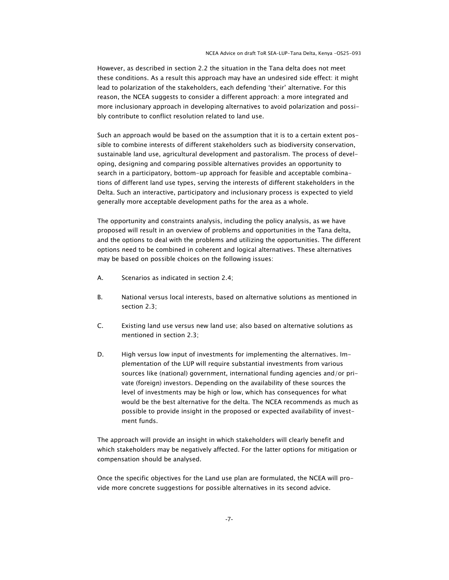However, as described in section 2.2 the situation in the Tana delta does not meet these conditions. As a result this approach may have an undesired side effect: it might lead to polarization of the stakeholders, each defending 'their' alternative. For this reason, the NCEA suggests to consider a different approach: a more integrated and more inclusionary approach in developing alternatives to avoid polarization and possibly contribute to conflict resolution related to land use.

Such an approach would be based on the assumption that it is to a certain extent possible to combine interests of different stakeholders such as biodiversity conservation, sustainable land use, agricultural development and pastoralism. The process of developing, designing and comparing possible alternatives provides an opportunity to search in a participatory, bottom-up approach for feasible and acceptable combinations of different land use types, serving the interests of different stakeholders in the Delta. Such an interactive, participatory and inclusionary process is expected to yield generally more acceptable development paths for the area as a whole.

The opportunity and constraints analysis, including the policy analysis, as we have proposed will result in an overview of problems and opportunities in the Tana delta, and the options to deal with the problems and utilizing the opportunities. The different options need to be combined in coherent and logical alternatives. These alternatives may be based on possible choices on the following issues:

- A. Scenarios as indicated in section 2.4;
- B. National versus local interests, based on alternative solutions as mentioned in section 2.3;
- C. Existing land use versus new land use; also based on alternative solutions as mentioned in section 2.3;
- D. High versus low input of investments for implementing the alternatives. Implementation of the LUP will require substantial investments from various sources like (national) government, international funding agencies and/or private (foreign) investors. Depending on the availability of these sources the level of investments may be high or low, which has consequences for what would be the best alternative for the delta. The NCEA recommends as much as possible to provide insight in the proposed or expected availability of investment funds.

The approach will provide an insight in which stakeholders will clearly benefit and which stakeholders may be negatively affected. For the latter options for mitigation or compensation should be analysed.

Once the specific objectives for the Land use plan are formulated, the NCEA will provide more concrete suggestions for possible alternatives in its second advice.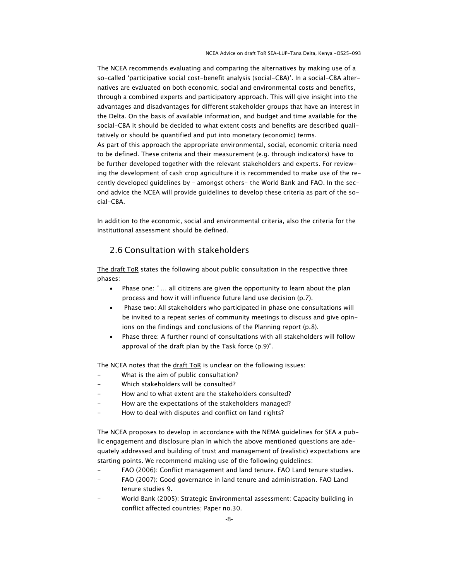NCEA Advice on draft ToR SEA–LUP-Tana Delta, Kenya -OS25-093

The NCEA recommends evaluating and comparing the alternatives by making use of a so-called 'participative social cost-benefit analysis (social-CBA)'. In a social-CBA alternatives are evaluated on both economic, social and environmental costs and benefits, through a combined experts and participatory approach. This will give insight into the advantages and disadvantages for different stakeholder groups that have an interest in the Delta. On the basis of available information, and budget and time available for the social-CBA it should be decided to what extent costs and benefits are described qualitatively or should be quantified and put into monetary (economic) terms. As part of this approach the appropriate environmental, social, economic criteria need to be defined. These criteria and their measurement (e.g. through indicators) have to be further developed together with the relevant stakeholders and experts. For reviewing the development of cash crop agriculture it is recommended to make use of the recently developed guidelines by – amongst others- the World Bank and FAO. In the second advice the NCEA will provide guidelines to develop these criteria as part of the social-CBA.

In addition to the economic, social and environmental criteria, also the criteria for the institutional assessment should be defined.

# 2.6 Consultation with stakeholders

The draft ToR states the following about public consultation in the respective three phases:

- Phase one: " … all citizens are given the opportunity to learn about the plan process and how it will influence future land use decision (p.7).
- Phase two: All stakeholders who participated in phase one consultations will be invited to a repeat series of community meetings to discuss and give opinions on the findings and conclusions of the Planning report (p.8).
- Phase three: A further round of consultations with all stakeholders will follow approval of the draft plan by the Task force (p.9)".

The NCEA notes that the draft ToR is unclear on the following issues:

- What is the aim of public consultation?
- Which stakeholders will be consulted?
- How and to what extent are the stakeholders consulted?
- How are the expectations of the stakeholders managed?
- How to deal with disputes and conflict on land rights?

The NCEA proposes to develop in accordance with the NEMA guidelines for SEA a public engagement and disclosure plan in which the above mentioned questions are adequately addressed and building of trust and management of (realistic) expectations are starting points. We recommend making use of the following guidelines:

- FAO (2006): Conflict management and land tenure. FAO Land tenure studies.
- FAO (2007): Good governance in land tenure and administration. FAO Land tenure studies 9.
- World Bank (2005): Strategic Environmental assessment: Capacity building in conflict affected countries; Paper no.30.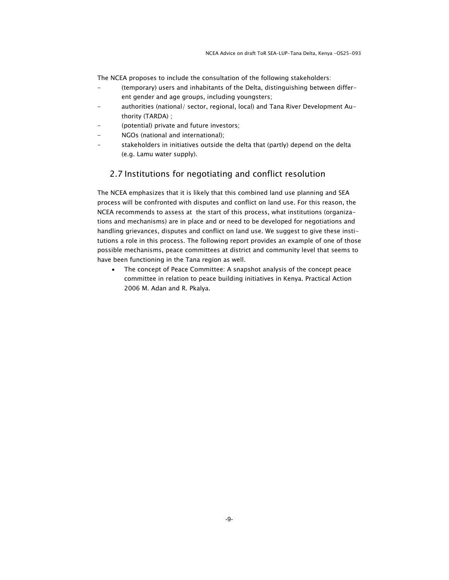The NCEA proposes to include the consultation of the following stakeholders:

- (temporary) users and inhabitants of the Delta, distinguishing between different gender and age groups, including youngsters;
- authorities (national/ sector, regional, local) and Tana River Development Authority (TARDA) ;
- (potential) private and future investors;
- NGOs (national and international);
- stakeholders in initiatives outside the delta that (partly) depend on the delta (e.g. Lamu water supply).

### 2.7 Institutions for negotiating and conflict resolution

The NCEA emphasizes that it is likely that this combined land use planning and SEA process will be confronted with disputes and conflict on land use. For this reason, the NCEA recommends to assess at the start of this process, what institutions (organizations and mechanisms) are in place and or need to be developed for negotiations and handling grievances, disputes and conflict on land use. We suggest to give these institutions a role in this process. The following report provides an example of one of those possible mechanisms, peace committees at district and community level that seems to have been functioning in the Tana region as well.

 The concept of Peace Committee: A snapshot analysis of the concept peace committee in relation to peace building initiatives in Kenya. Practical Action 2006 M. Adan and R. Pkalya.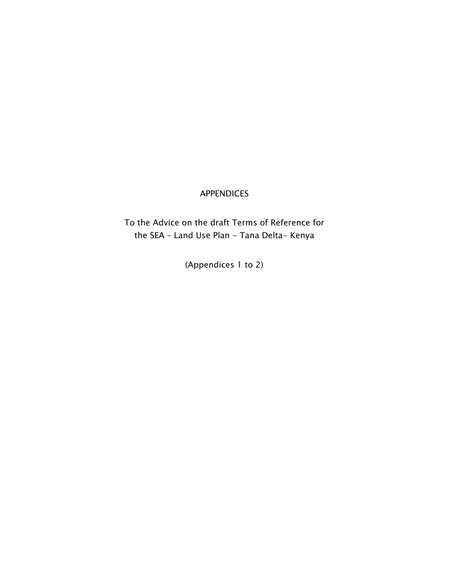# APPENDICES

To the Advice on the draft Terms of Reference for the SEA - Land Use Plan - Tana Delta- Kenya

(Appendices 1 to 2)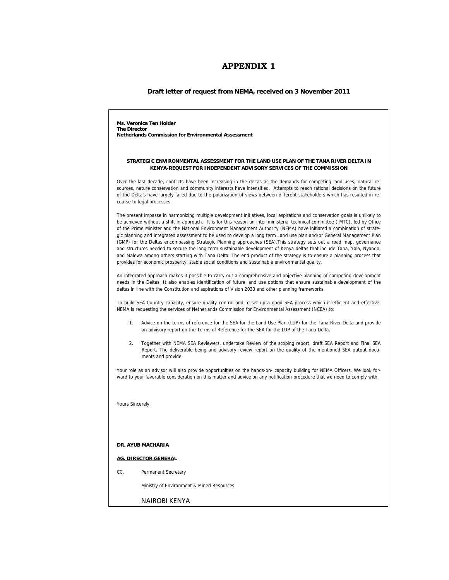# **APPENDIX 1**

#### **Draft letter of request from NEMA, received on 3 November 2011**